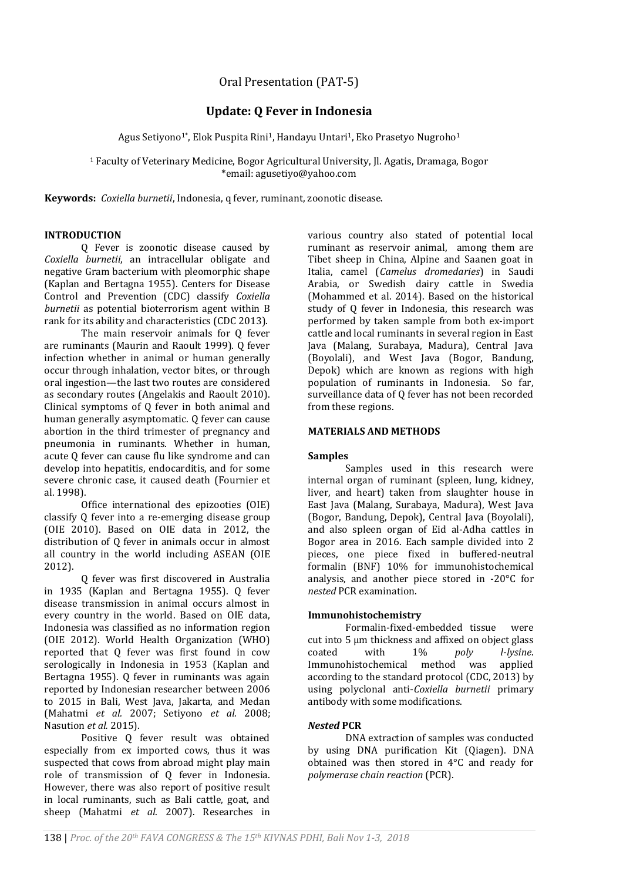# Oral Presentation (PAT-5)

# **Update: Q Fever in Indonesia**

Agus Setiyono<sup>1\*</sup>, Elok Puspita Rini<sup>1</sup>, Handayu Untari<sup>1</sup>, Eko Prasetyo Nugroho<sup>1</sup>

<sup>1</sup> Faculty of Veterinary Medicine, Bogor Agricultural University, Jl. Agatis, Dramaga, Bogor \*email: agusetiyo@yahoo.com

**Keywords:** *Coxiella burnetii*, Indonesia, q fever, ruminant, zoonotic disease.

# **INTRODUCTION**

Q Fever is zoonotic disease caused by *Coxiella burnetii*, an intracellular obligate and negative Gram bacterium with pleomorphic shape (Kaplan and Bertagna 1955). Centers for Disease Control and Prevention (CDC) classify *Coxiella burnetii* as potential bioterrorism agent within B rank for its ability and characteristics (CDC 2013).

The main reservoir animals for Q fever are ruminants (Maurin and Raoult 1999). Q fever infection whether in animal or human generally occur through inhalation, vector bites, or through oral ingestion—the last two routes are considered as secondary routes (Angelakis and Raoult 2010). Clinical symptoms of Q fever in both animal and human generally asymptomatic. Q fever can cause abortion in the third trimester of pregnancy and pneumonia in ruminants. Whether in human, acute Q fever can cause flu like syndrome and can develop into hepatitis, endocarditis, and for some severe chronic case, it caused death (Fournier et al. 1998).

Office international des epizooties (OIE) classify Q fever into a re-emerging disease group (OIE 2010). Based on OIE data in 2012, the distribution of Q fever in animals occur in almost all country in the world including ASEAN (OIE 2012).

Q fever was first discovered in Australia in 1935 (Kaplan and Bertagna 1955). Q fever disease transmission in animal occurs almost in every country in the world. Based on OIE data, Indonesia was classified as no information region (OIE 2012). World Health Organization (WHO) reported that Q fever was first found in cow serologically in Indonesia in 1953 (Kaplan and Bertagna 1955). Q fever in ruminants was again reported by Indonesian researcher between 2006 to 2015 in Bali, West Java, Jakarta, and Medan (Mahatmi *et al.* 2007; Setiyono *et al.* 2008; Nasution *et al.* 2015).

Positive Q fever result was obtained especially from ex imported cows, thus it was suspected that cows from abroad might play main role of transmission of Q fever in Indonesia. However, there was also report of positive result in local ruminants, such as Bali cattle, goat, and sheep (Mahatmi *et al*. 2007). Researches in

various country also stated of potential local ruminant as reservoir animal, among them are Tibet sheep in China, Alpine and Saanen goat in Italia, camel (*Camelus dromedaries*) in Saudi Arabia, or Swedish dairy cattle in Swedia (Mohammed et al. 2014). Based on the historical study of Q fever in Indonesia, this research was performed by taken sample from both ex-import cattle and local ruminants in several region in East Java (Malang, Surabaya, Madura), Central Java (Boyolali), and West Java (Bogor, Bandung, Depok) which are known as regions with high population of ruminants in Indonesia. So far, surveillance data of Q fever has not been recorded from these regions.

# **MATERIALS AND METHODS**

## **Samples**

Samples used in this research were internal organ of ruminant (spleen, lung, kidney, liver, and heart) taken from slaughter house in East Java (Malang, Surabaya, Madura), West Java (Bogor, Bandung, Depok), Central Java (Boyolali), and also spleen organ of Eid al-Adha cattles in Bogor area in 2016. Each sample divided into 2 pieces, one piece fixed in buffered-neutral formalin (BNF) 10% for immunohistochemical analysis, and another piece stored in -20°C for *nested* PCR examination.

## **Immunohistochemistry**

Formalin-fixed-embedded tissue were cut into 5 μm thickness and affixed on object glass coated with 1% *poly l-lysine*. Immunohistochemical method was applied according to the standard protocol (CDC, 2013) by using polyclonal anti-*Coxiella burnetii* primary antibody with some modifications.

## *Nested* **PCR**

DNA extraction of samples was conducted by using DNA purification Kit (Qiagen). DNA obtained was then stored in 4°C and ready for *polymerase chain reaction* (PCR).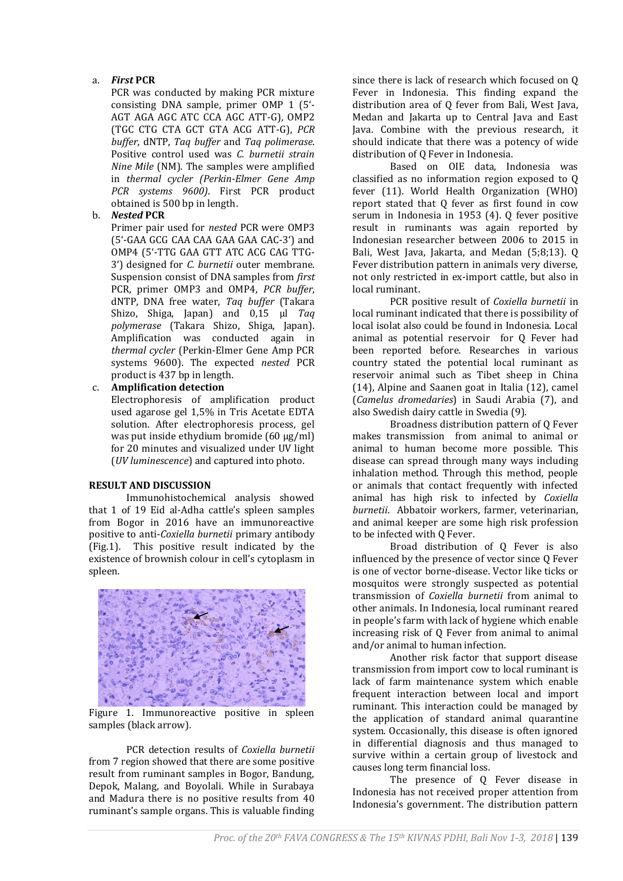# a. *First* **PCR**

PCR was conducted by making PCR mixture consisting DNA sample, primer OMP 1 (5'- AGT AGA AGC ATC CCA AGC ATT-G), OMP2 (TGC CTG CTA GCT GTA ACG ATT-G), *PCR buffer*, dNTP, *Taq buffer* and *Taq polimerase*. Positive control used was *C. burnetii strain Nine Mile* (NM). The samples were amplified in *thermal cycler (Perkin-Elmer Gene Amp PCR systems 9600)*. First PCR product obtained is 500 bp in length.

## b. *Nested* **PCR**

Primer pair used for *nested* PCR were OMP3 (5'-GAA GCG CAA CAA GAA GAA CAC-3') and OMP4 (5'-TTG GAA GTT ATC ACG CAG TTG-3') designed for *C. burnetii* outer membrane. Suspension consist of DNA samples from *first* PCR, primer OMP3 and OMP4, *PCR buffer*, dNTP, DNA free water, *Taq buffer* (Takara Shizo, Shiga, Japan) and 0,15 µl *Taq polymerase* (Takara Shizo, Shiga, Japan). Amplification was conducted again in *thermal cycler* (Perkin-Elmer Gene Amp PCR systems 9600). The expected *nested* PCR product is 437 bp in length.

# c. **Amplification detection**

Electrophoresis of amplification product used agarose gel 1,5% in Tris Acetate EDTA solution. After electrophoresis process, gel was put inside ethydium bromide (60 µg/ml) for 20 minutes and visualized under UV light (*UV luminescence*) and captured into photo.

## **RESULT AND DISCUSSION**

Immunohistochemical analysis showed that 1 of 19 Eid al-Adha cattle's spleen samples from Bogor in 2016 have an immunoreactive positive to anti-*Coxiella burnetii* primary antibody (Fig.1). This positive result indicated by the existence of brownish colour in cell's cytoplasm in spleen.



Figure 1. Immunoreactive positive in spleen samples (black arrow).

PCR detection results of *Coxiella burnetii* from 7 region showed that there are some positive result from ruminant samples in Bogor, Bandung, Depok, Malang, and Boyolali. While in Surabaya and Madura there is no positive results from 40 ruminant's sample organs. This is valuable finding

since there is lack of research which focused on Q Fever in Indonesia. This finding expand the distribution area of Q fever from Bali, West Java, Medan and Jakarta up to Central Java and East Java. Combine with the previous research, it should indicate that there was a potency of wide distribution of Q Fever in Indonesia.

Based on OIE data, Indonesia was classified as no information region exposed to Q fever (11). World Health Organization (WHO) report stated that Q fever as first found in cow serum in Indonesia in 1953 (4). Q fever positive result in ruminants was again reported by Indonesian researcher between 2006 to 2015 in Bali, West Java, Jakarta, and Medan (5;8;13). Q Fever distribution pattern in animals very diverse, not only restricted in ex-import cattle, but also in local ruminant.

PCR positive result of *Coxiella burnetii* in local ruminant indicated that there is possibility of local isolat also could be found in Indonesia. Local animal as potential reservoir for Q Fever had been reported before. Researches in various country stated the potential local ruminant as reservoir animal such as Tibet sheep in China (14), Alpine and Saanen goat in Italia (12), camel (*Camelus dromedaries*) in Saudi Arabia (7), and also Swedish dairy cattle in Swedia (9).

Broadness distribution pattern of Q Fever makes transmission from animal to animal or animal to human become more possible. This disease can spread through many ways including inhalation method. Through this method, people or animals that contact frequently with infected animal has high risk to infected by *Coxiella burnetii*. Abbatoir workers, farmer, veterinarian, and animal keeper are some high risk profession to be infected with Q Fever.

Broad distribution of Q Fever is also influenced by the presence of vector since Q Fever is one of vector borne-disease. Vector like ticks or mosquitos were strongly suspected as potential transmission of *Coxiella burnetii* from animal to other animals. In Indonesia, local ruminant reared in people's farm with lack of hygiene which enable increasing risk of Q Fever from animal to animal and/or animal to human infection.

Another risk factor that support disease transmission from import cow to local ruminant is lack of farm maintenance system which enable frequent interaction between local and import ruminant. This interaction could be managed by the application of standard animal quarantine system. Occasionally, this disease is often ignored in differential diagnosis and thus managed to survive within a certain group of livestock and causes long term financial loss.

The presence of Q Fever disease in Indonesia has not received proper attention from Indonesia's government. The distribution pattern